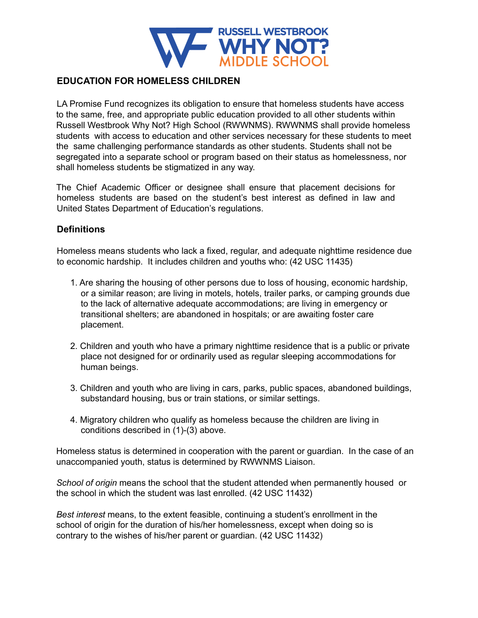

## **EDUCATION FOR HOMELESS CHILDREN**

LA Promise Fund recognizes its obligation to ensure that homeless students have access to the same, free, and appropriate public education provided to all other students within Russell Westbrook Why Not? High School (RWWNMS). RWWNMS shall provide homeless students with access to education and other services necessary for these students to meet the same challenging performance standards as other students. Students shall not be segregated into a separate school or program based on their status as homelessness, nor shall homeless students be stigmatized in any way.

The Chief Academic Officer or designee shall ensure that placement decisions for homeless students are based on the student's best interest as defined in law and United States Department of Education's regulations.

## **Definitions**

Homeless means students who lack a fixed, regular, and adequate nighttime residence due to economic hardship. It includes children and youths who: (42 USC 11435)

- 1. Are sharing the housing of other persons due to loss of housing, economic hardship, or a similar reason; are living in motels, hotels, trailer parks, or camping grounds due to the lack of alternative adequate accommodations; are living in emergency or transitional shelters; are abandoned in hospitals; or are awaiting foster care placement.
- 2. Children and youth who have a primary nighttime residence that is a public or private place not designed for or ordinarily used as regular sleeping accommodations for human beings.
- 3. Children and youth who are living in cars, parks, public spaces, abandoned buildings, substandard housing, bus or train stations, or similar settings.
- 4. Migratory children who qualify as homeless because the children are living in conditions described in (1)-(3) above.

Homeless status is determined in cooperation with the parent or guardian. In the case of an unaccompanied youth, status is determined by RWWNMS Liaison.

*School of origin* means the school that the student attended when permanently housed or the school in which the student was last enrolled. (42 USC 11432)

*Best interest* means, to the extent feasible, continuing a student's enrollment in the school of origin for the duration of his/her homelessness, except when doing so is contrary to the wishes of his/her parent or guardian. (42 USC 11432)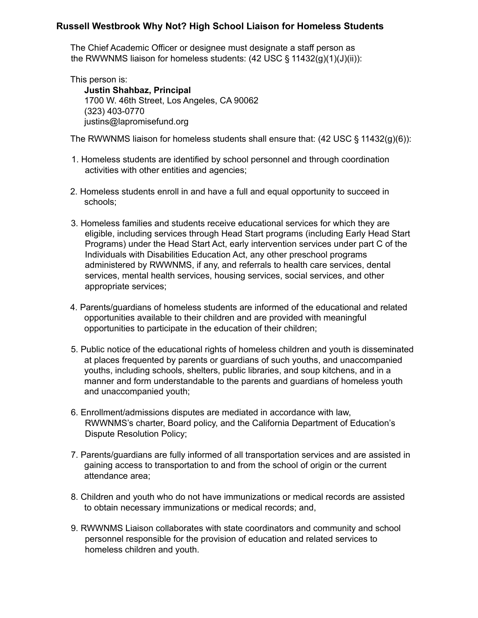#### **Russell Westbrook Why Not? High School Liaison for Homeless Students**

The Chief Academic Officer or designee must designate a staff person as the RWWNMS liaison for homeless students: (42 USC § 11432(g)(1)(J)(ii)):

This person is: **Justin Shahbaz, Principal** 1700 W. 46th Street, Los Angeles, CA 90062 (323) 403-0770 justins@lapromisefund.org

The RWWNMS liaison for homeless students shall ensure that:  $(42 \text{ USC} \S 11432(g)(6))$ :

- 1. Homeless students are identified by school personnel and through coordination activities with other entities and agencies;
- 2. Homeless students enroll in and have a full and equal opportunity to succeed in schools;
- 3. Homeless families and students receive educational services for which they are eligible, including services through Head Start programs (including Early Head Start Programs) under the Head Start Act, early intervention services under part C of the Individuals with Disabilities Education Act, any other preschool programs administered by RWWNMS, if any, and referrals to health care services, dental services, mental health services, housing services, social services, and other appropriate services;
- 4. Parents/guardians of homeless students are informed of the educational and related opportunities available to their children and are provided with meaningful opportunities to participate in the education of their children;
- 5. Public notice of the educational rights of homeless children and youth is disseminated at places frequented by parents or guardians of such youths, and unaccompanied youths, including schools, shelters, public libraries, and soup kitchens, and in a manner and form understandable to the parents and guardians of homeless youth and unaccompanied youth;
- 6. Enrollment/admissions disputes are mediated in accordance with law, RWWNMS's charter, Board policy, and the California Department of Education's Dispute Resolution Policy;
- 7. Parents/guardians are fully informed of all transportation services and are assisted in gaining access to transportation to and from the school of origin or the current attendance area;
- 8. Children and youth who do not have immunizations or medical records are assisted to obtain necessary immunizations or medical records; and,
- 9. RWWNMS Liaison collaborates with state coordinators and community and school personnel responsible for the provision of education and related services to homeless children and youth.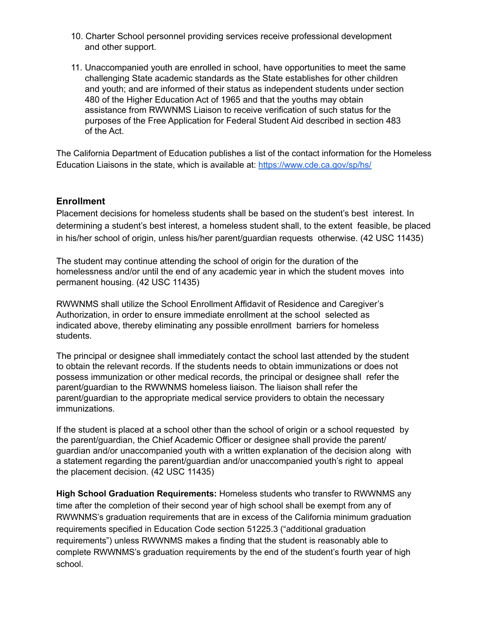- 10. Charter School personnel providing services receive professional development and other support.
- 11. Unaccompanied youth are enrolled in school, have opportunities to meet the same challenging State academic standards as the State establishes for other children and youth; and are informed of their status as independent students under section 480 of the Higher Education Act of 1965 and that the youths may obtain assistance from RWWNMS Liaison to receive verification of such status for the purposes of the Free Application for Federal Student Aid described in section 483 of the Act.

The California Department of Education publishes a list of the contact information for the Homeless Education Liaisons in the state, which is available at: <https://www.cde.ca.gov/sp/hs/>

## **Enrollment**

Placement decisions for homeless students shall be based on the student's best interest. In determining a student's best interest, a homeless student shall, to the extent feasible, be placed in his/her school of origin, unless his/her parent/guardian requests otherwise. (42 USC 11435)

The student may continue attending the school of origin for the duration of the homelessness and/or until the end of any academic year in which the student moves into permanent housing. (42 USC 11435)

RWWNMS shall utilize the School Enrollment Affidavit of Residence and Caregiver's Authorization, in order to ensure immediate enrollment at the school selected as indicated above, thereby eliminating any possible enrollment barriers for homeless students.

The principal or designee shall immediately contact the school last attended by the student to obtain the relevant records. If the students needs to obtain immunizations or does not possess immunization or other medical records, the principal or designee shall refer the parent/guardian to the RWWNMS homeless liaison. The liaison shall refer the parent/guardian to the appropriate medical service providers to obtain the necessary immunizations.

If the student is placed at a school other than the school of origin or a school requested by the parent/guardian, the Chief Academic Officer or designee shall provide the parent/ guardian and/or unaccompanied youth with a written explanation of the decision along with a statement regarding the parent/guardian and/or unaccompanied youth's right to appeal the placement decision. (42 USC 11435)

**High School Graduation Requirements:** Homeless students who transfer to RWWNMS any time after the completion of their second year of high school shall be exempt from any of RWWNMS's graduation requirements that are in excess of the California minimum graduation requirements specified in Education Code section 51225.3 ("additional graduation requirements") unless RWWNMS makes a finding that the student is reasonably able to complete RWWNMS's graduation requirements by the end of the student's fourth year of high school.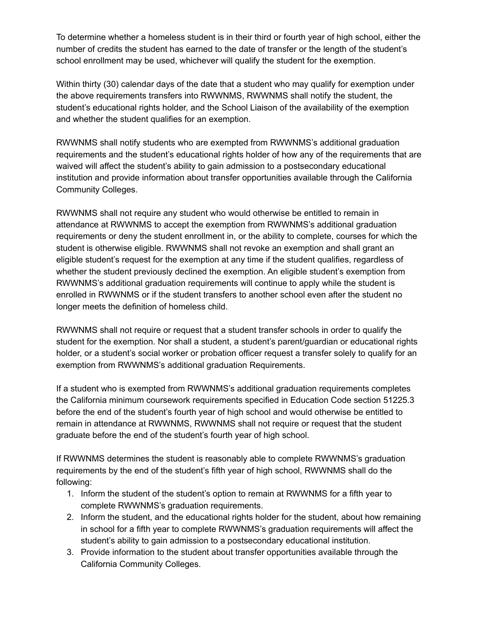To determine whether a homeless student is in their third or fourth year of high school, either the number of credits the student has earned to the date of transfer or the length of the student's school enrollment may be used, whichever will qualify the student for the exemption.

Within thirty (30) calendar days of the date that a student who may qualify for exemption under the above requirements transfers into RWWNMS, RWWNMS shall notify the student, the student's educational rights holder, and the School Liaison of the availability of the exemption and whether the student qualifies for an exemption.

RWWNMS shall notify students who are exempted from RWWNMS's additional graduation requirements and the student's educational rights holder of how any of the requirements that are waived will affect the student's ability to gain admission to a postsecondary educational institution and provide information about transfer opportunities available through the California Community Colleges.

RWWNMS shall not require any student who would otherwise be entitled to remain in attendance at RWWNMS to accept the exemption from RWWNMS's additional graduation requirements or deny the student enrollment in, or the ability to complete, courses for which the student is otherwise eligible. RWWNMS shall not revoke an exemption and shall grant an eligible student's request for the exemption at any time if the student qualifies, regardless of whether the student previously declined the exemption. An eligible student's exemption from RWWNMS's additional graduation requirements will continue to apply while the student is enrolled in RWWNMS or if the student transfers to another school even after the student no longer meets the definition of homeless child.

RWWNMS shall not require or request that a student transfer schools in order to qualify the student for the exemption. Nor shall a student, a student's parent/guardian or educational rights holder, or a student's social worker or probation officer request a transfer solely to qualify for an exemption from RWWNMS's additional graduation Requirements.

If a student who is exempted from RWWNMS's additional graduation requirements completes the California minimum coursework requirements specified in Education Code section 51225.3 before the end of the student's fourth year of high school and would otherwise be entitled to remain in attendance at RWWNMS, RWWNMS shall not require or request that the student graduate before the end of the student's fourth year of high school.

If RWWNMS determines the student is reasonably able to complete RWWNMS's graduation requirements by the end of the student's fifth year of high school, RWWNMS shall do the following:

- 1. Inform the student of the student's option to remain at RWWNMS for a fifth year to complete RWWNMS's graduation requirements.
- 2. Inform the student, and the educational rights holder for the student, about how remaining in school for a fifth year to complete RWWNMS's graduation requirements will affect the student's ability to gain admission to a postsecondary educational institution.
- 3. Provide information to the student about transfer opportunities available through the California Community Colleges.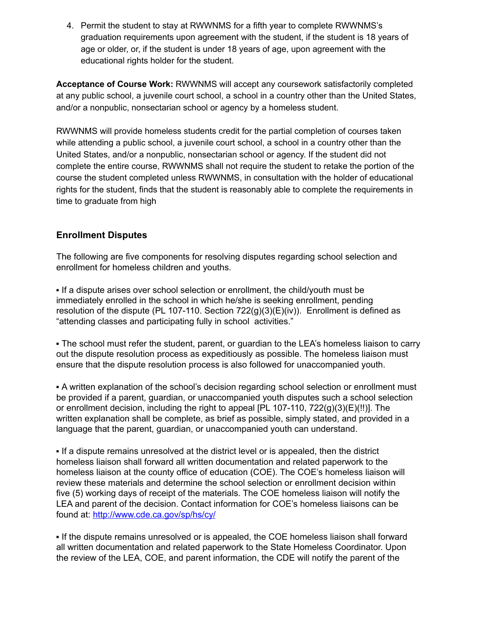4. Permit the student to stay at RWWNMS for a fifth year to complete RWWNMS's graduation requirements upon agreement with the student, if the student is 18 years of age or older, or, if the student is under 18 years of age, upon agreement with the educational rights holder for the student.

**Acceptance of Course Work:** RWWNMS will accept any coursework satisfactorily completed at any public school, a juvenile court school, a school in a country other than the United States, and/or a nonpublic, nonsectarian school or agency by a homeless student.

RWWNMS will provide homeless students credit for the partial completion of courses taken while attending a public school, a juvenile court school, a school in a country other than the United States, and/or a nonpublic, nonsectarian school or agency. If the student did not complete the entire course, RWWNMS shall not require the student to retake the portion of the course the student completed unless RWWNMS, in consultation with the holder of educational rights for the student, finds that the student is reasonably able to complete the requirements in time to graduate from high

# **Enrollment Disputes**

The following are five components for resolving disputes regarding school selection and enrollment for homeless children and youths.

▪ If a dispute arises over school selection or enrollment, the child/youth must be immediately enrolled in the school in which he/she is seeking enrollment, pending resolution of the dispute (PL 107-110. Section  $722(q)(3)(E)(iv)$ ). Enrollment is defined as "attending classes and participating fully in school activities."

• The school must refer the student, parent, or guardian to the LEA's homeless liaison to carry out the dispute resolution process as expeditiously as possible. The homeless liaison must ensure that the dispute resolution process is also followed for unaccompanied youth.

▪ A written explanation of the school's decision regarding school selection or enrollment must be provided if a parent, guardian, or unaccompanied youth disputes such a school selection or enrollment decision, including the right to appeal [PL 107-110, 722(g)(3)(E)(!!)]. The written explanation shall be complete, as brief as possible, simply stated, and provided in a language that the parent, guardian, or unaccompanied youth can understand.

▪ If a dispute remains unresolved at the district level or is appealed, then the district homeless liaison shall forward all written documentation and related paperwork to the homeless liaison at the county office of education (COE). The COE's homeless liaison will review these materials and determine the school selection or enrollment decision within five (5) working days of receipt of the materials. The COE homeless liaison will notify the LEA and parent of the decision. Contact information for COE's homeless liaisons can be found at: http://www.cde.ca.gov/sp/hs/cy/

▪ If the dispute remains unresolved or is appealed, the COE homeless liaison shall forward all written documentation and related paperwork to the State Homeless Coordinator. Upon the review of the LEA, COE, and parent information, the CDE will notify the parent of the